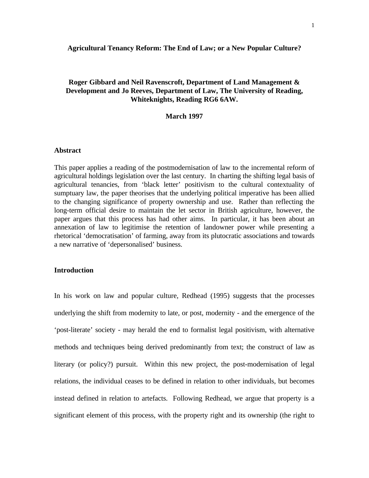#### **Agricultural Tenancy Reform: The End of Law; or a New Popular Culture?**

# **Roger Gibbard and Neil Ravenscroft, Department of Land Management & Development and Jo Reeves, Department of Law, The University of Reading, Whiteknights, Reading RG6 6AW.**

## **March 1997**

### **Abstract**

This paper applies a reading of the postmodernisation of law to the incremental reform of agricultural holdings legislation over the last century. In charting the shifting legal basis of agricultural tenancies, from 'black letter' positivism to the cultural contextuality of sumptuary law, the paper theorises that the underlying political imperative has been allied to the changing significance of property ownership and use. Rather than reflecting the long-term official desire to maintain the let sector in British agriculture, however, the paper argues that this process has had other aims. In particular, it has been about an annexation of law to legitimise the retention of landowner power while presenting a rhetorical 'democratisation' of farming, away from its plutocratic associations and towards a new narrative of 'depersonalised' business.

## **Introduction**

In his work on law and popular culture, Redhead (1995) suggests that the processes underlying the shift from modernity to late, or post, modernity - and the emergence of the 'post-literate' society - may herald the end to formalist legal positivism, with alternative methods and techniques being derived predominantly from text; the construct of law as literary (or policy?) pursuit. Within this new project, the post-modernisation of legal relations, the individual ceases to be defined in relation to other individuals, but becomes instead defined in relation to artefacts. Following Redhead, we argue that property is a significant element of this process, with the property right and its ownership (the right to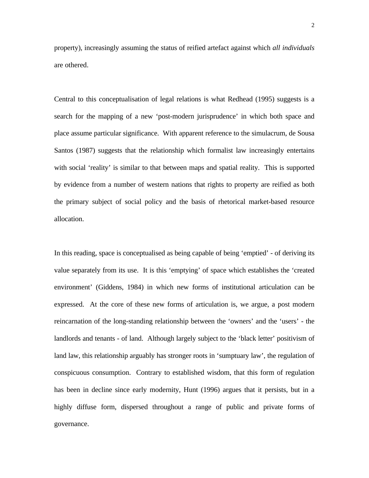property), increasingly assuming the status of reified artefact against which *all individuals* are othered.

Central to this conceptualisation of legal relations is what Redhead (1995) suggests is a search for the mapping of a new 'post-modern jurisprudence' in which both space and place assume particular significance. With apparent reference to the simulacrum, de Sousa Santos (1987) suggests that the relationship which formalist law increasingly entertains with social 'reality' is similar to that between maps and spatial reality. This is supported by evidence from a number of western nations that rights to property are reified as both the primary subject of social policy and the basis of rhetorical market-based resource allocation.

In this reading, space is conceptualised as being capable of being 'emptied' - of deriving its value separately from its use. It is this 'emptying' of space which establishes the 'created environment' (Giddens, 1984) in which new forms of institutional articulation can be expressed. At the core of these new forms of articulation is, we argue, a post modern reincarnation of the long-standing relationship between the 'owners' and the 'users' - the landlords and tenants - of land. Although largely subject to the 'black letter' positivism of land law, this relationship arguably has stronger roots in 'sumptuary law', the regulation of conspicuous consumption. Contrary to established wisdom, that this form of regulation has been in decline since early modernity, Hunt (1996) argues that it persists, but in a highly diffuse form, dispersed throughout a range of public and private forms of governance.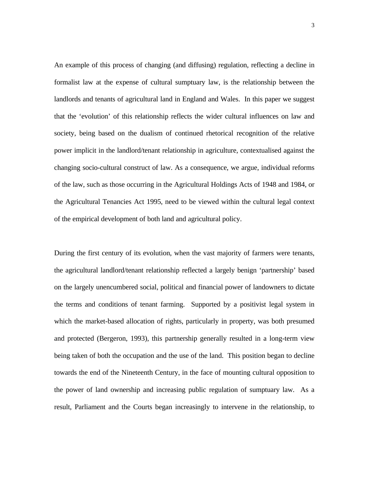An example of this process of changing (and diffusing) regulation, reflecting a decline in formalist law at the expense of cultural sumptuary law, is the relationship between the landlords and tenants of agricultural land in England and Wales. In this paper we suggest that the 'evolution' of this relationship reflects the wider cultural influences on law and society, being based on the dualism of continued rhetorical recognition of the relative power implicit in the landlord/tenant relationship in agriculture, contextualised against the changing socio-cultural construct of law. As a consequence, we argue, individual reforms of the law, such as those occurring in the Agricultural Holdings Acts of 1948 and 1984, or the Agricultural Tenancies Act 1995, need to be viewed within the cultural legal context of the empirical development of both land and agricultural policy.

During the first century of its evolution, when the vast majority of farmers were tenants, the agricultural landlord/tenant relationship reflected a largely benign 'partnership' based on the largely unencumbered social, political and financial power of landowners to dictate the terms and conditions of tenant farming. Supported by a positivist legal system in which the market-based allocation of rights, particularly in property, was both presumed and protected (Bergeron, 1993), this partnership generally resulted in a long-term view being taken of both the occupation and the use of the land. This position began to decline towards the end of the Nineteenth Century, in the face of mounting cultural opposition to the power of land ownership and increasing public regulation of sumptuary law. As a result, Parliament and the Courts began increasingly to intervene in the relationship, to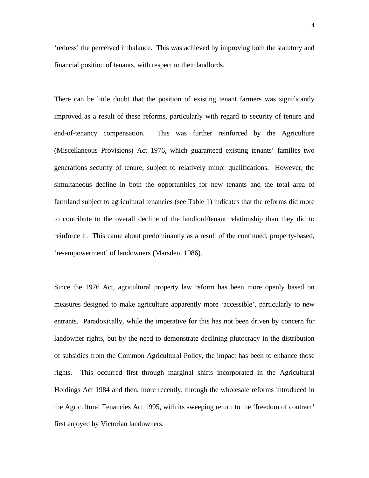'redress' the perceived imbalance. This was achieved by improving both the statutory and financial position of tenants, with respect to their landlords.

There can be little doubt that the position of existing tenant farmers was significantly improved as a result of these reforms, particularly with regard to security of tenure and end-of-tenancy compensation. This was further reinforced by the Agriculture (Miscellaneous Provisions) Act 1976, which guaranteed existing tenants' families two generations security of tenure, subject to relatively minor qualifications. However, the simultaneous decline in both the opportunities for new tenants and the total area of farmland subject to agricultural tenancies (see Table 1) indicates that the reforms did more to contribute to the overall decline of the landlord/tenant relationship than they did to reinforce it. This came about predominantly as a result of the continued, property-based, 're-empowerment' of landowners (Marsden, 1986).

Since the 1976 Act, agricultural property law reform has been more openly based on measures designed to make agriculture apparently more 'accessible', particularly to new entrants. Paradoxically, while the imperative for this has not been driven by concern for landowner rights, but by the need to demonstrate declining plutocracy in the distribution of subsidies from the Common Agricultural Policy, the impact has been to enhance those rights. This occurred first through marginal shifts incorporated in the Agricultural Holdings Act 1984 and then, more recently, through the wholesale reforms introduced in the Agricultural Tenancies Act 1995, with its sweeping return to the 'freedom of contract' first enjoyed by Victorian landowners.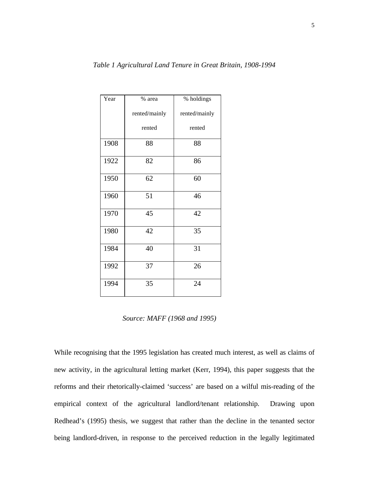| Year | % area        | % holdings    |
|------|---------------|---------------|
|      | rented/mainly | rented/mainly |
|      | rented        | rented        |
| 1908 | 88            | 88            |
| 1922 | 82            | 86            |
| 1950 | 62            | 60            |
| 1960 | 51            | 46            |
| 1970 | 45            | 42            |
| 1980 | 42            | 35            |
| 1984 | 40            | 31            |
| 1992 | 37            | 26            |
| 1994 | 35            | 24            |

*Source: MAFF (1968 and 1995)*

While recognising that the 1995 legislation has created much interest, as well as claims of new activity, in the agricultural letting market (Kerr, 1994), this paper suggests that the reforms and their rhetorically-claimed 'success' are based on a wilful mis-reading of the empirical context of the agricultural landlord/tenant relationship. Drawing upon Redhead's (1995) thesis, we suggest that rather than the decline in the tenanted sector being landlord-driven, in response to the perceived reduction in the legally legitimated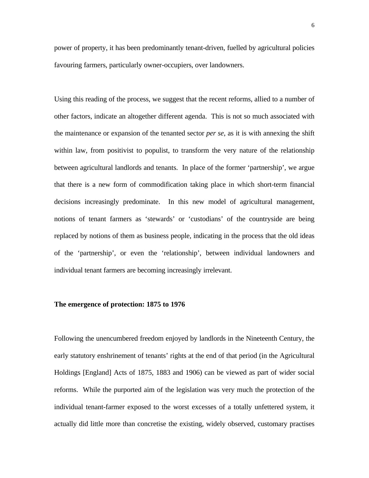power of property, it has been predominantly tenant-driven, fuelled by agricultural policies favouring farmers, particularly owner-occupiers, over landowners.

Using this reading of the process, we suggest that the recent reforms, allied to a number of other factors, indicate an altogether different agenda. This is not so much associated with the maintenance or expansion of the tenanted sector *per se*, as it is with annexing the shift within law, from positivist to populist, to transform the very nature of the relationship between agricultural landlords and tenants. In place of the former 'partnership', we argue that there is a new form of commodification taking place in which short-term financial decisions increasingly predominate. In this new model of agricultural management, notions of tenant farmers as 'stewards' or 'custodians' of the countryside are being replaced by notions of them as business people, indicating in the process that the old ideas of the 'partnership', or even the 'relationship', between individual landowners and individual tenant farmers are becoming increasingly irrelevant.

#### **The emergence of protection: 1875 to 1976**

Following the unencumbered freedom enjoyed by landlords in the Nineteenth Century, the early statutory enshrinement of tenants' rights at the end of that period (in the Agricultural Holdings [England] Acts of 1875, 1883 and 1906) can be viewed as part of wider social reforms. While the purported aim of the legislation was very much the protection of the individual tenant-farmer exposed to the worst excesses of a totally unfettered system, it actually did little more than concretise the existing, widely observed, customary practises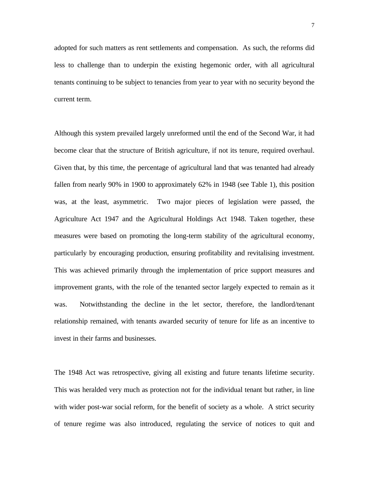adopted for such matters as rent settlements and compensation. As such, the reforms did less to challenge than to underpin the existing hegemonic order, with all agricultural tenants continuing to be subject to tenancies from year to year with no security beyond the current term.

Although this system prevailed largely unreformed until the end of the Second War, it had become clear that the structure of British agriculture, if not its tenure, required overhaul. Given that, by this time, the percentage of agricultural land that was tenanted had already fallen from nearly 90% in 1900 to approximately 62% in 1948 (see Table 1), this position was, at the least, asymmetric. Two major pieces of legislation were passed, the Agriculture Act 1947 and the Agricultural Holdings Act 1948. Taken together, these measures were based on promoting the long-term stability of the agricultural economy, particularly by encouraging production, ensuring profitability and revitalising investment. This was achieved primarily through the implementation of price support measures and improvement grants, with the role of the tenanted sector largely expected to remain as it was. Notwithstanding the decline in the let sector, therefore, the landlord/tenant relationship remained, with tenants awarded security of tenure for life as an incentive to invest in their farms and businesses.

The 1948 Act was retrospective, giving all existing and future tenants lifetime security. This was heralded very much as protection not for the individual tenant but rather, in line with wider post-war social reform, for the benefit of society as a whole. A strict security of tenure regime was also introduced, regulating the service of notices to quit and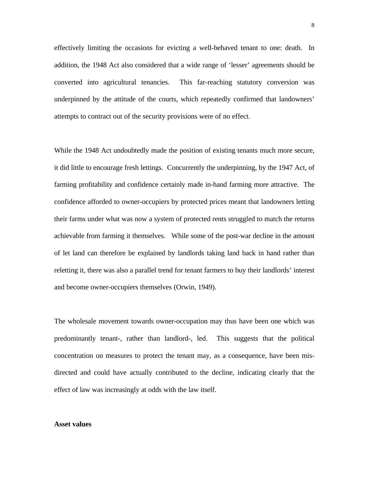effectively limiting the occasions for evicting a well-behaved tenant to one: death. In addition, the 1948 Act also considered that a wide range of 'lesser' agreements should be converted into agricultural tenancies. This far-reaching statutory conversion was underpinned by the attitude of the courts, which repeatedly confirmed that landowners' attempts to contract out of the security provisions were of no effect.

While the 1948 Act undoubtedly made the position of existing tenants much more secure, it did little to encourage fresh lettings. Concurrently the underpinning, by the 1947 Act, of farming profitability and confidence certainly made in-hand farming more attractive. The confidence afforded to owner-occupiers by protected prices meant that landowners letting their farms under what was now a system of protected rents struggled to match the returns achievable from farming it themselves. While some of the post-war decline in the amount of let land can therefore be explained by landlords taking land back in hand rather than reletting it, there was also a parallel trend for tenant farmers to buy their landlords' interest and become owner-occupiers themselves (Orwin, 1949).

The wholesale movement towards owner-occupation may thus have been one which was predominantly tenant-, rather than landlord-, led. This suggests that the political concentration on measures to protect the tenant may, as a consequence, have been misdirected and could have actually contributed to the decline, indicating clearly that the effect of law was increasingly at odds with the law itself.

#### **Asset values**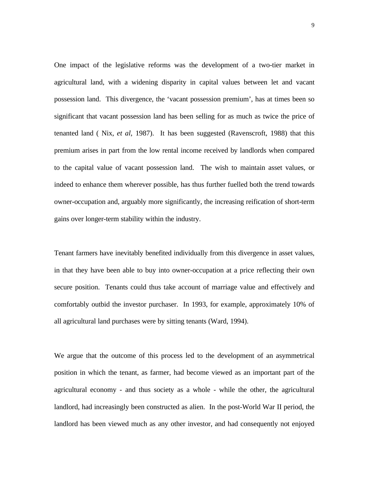One impact of the legislative reforms was the development of a two-tier market in agricultural land, with a widening disparity in capital values between let and vacant possession land. This divergence, the 'vacant possession premium', has at times been so significant that vacant possession land has been selling for as much as twice the price of tenanted land ( Nix, *et al*, 1987). It has been suggested (Ravenscroft, 1988) that this premium arises in part from the low rental income received by landlords when compared to the capital value of vacant possession land. The wish to maintain asset values, or indeed to enhance them wherever possible, has thus further fuelled both the trend towards owner-occupation and, arguably more significantly, the increasing reification of short-term gains over longer-term stability within the industry.

Tenant farmers have inevitably benefited individually from this divergence in asset values, in that they have been able to buy into owner-occupation at a price reflecting their own secure position. Tenants could thus take account of marriage value and effectively and comfortably outbid the investor purchaser. In 1993, for example, approximately 10% of all agricultural land purchases were by sitting tenants (Ward, 1994).

We argue that the outcome of this process led to the development of an asymmetrical position in which the tenant, as farmer, had become viewed as an important part of the agricultural economy - and thus society as a whole - while the other, the agricultural landlord, had increasingly been constructed as alien. In the post-World War II period, the landlord has been viewed much as any other investor, and had consequently not enjoyed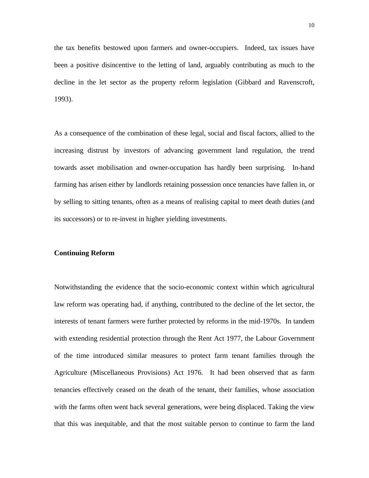the tax benefits bestowed upon farmers and owner-occupiers. Indeed, tax issues have been a positive disincentive to the letting of land, arguably contributing as much to the decline in the let sector as the property reform legislation (Gibbard and Ravenscroft, 1993).

As a consequence of the combination of these legal, social and fiscal factors, allied to the increasing distrust by investors of advancing government land regulation, the trend towards asset mobilisation and owner-occupation has hardly been surprising. In-hand farming has arisen either by landlords retaining possession once tenancies have fallen in, or by selling to sitting tenants, often as a means of realising capital to meet death duties (and its successors) or to re-invest in higher yielding investments.

### **Continuing Reform**

Notwithstanding the evidence that the socio-economic context within which agricultural law reform was operating had, if anything, contributed to the decline of the let sector, the interests of tenant farmers were further protected by reforms in the mid-1970s. In tandem with extending residential protection through the Rent Act 1977, the Labour Government of the time introduced similar measures to protect farm tenant families through the Agriculture (Miscellaneous Provisions) Act 1976. It had been observed that as farm tenancies effectively ceased on the death of the tenant, their families, whose association with the farms often went back several generations, were being displaced. Taking the view that this was inequitable, and that the most suitable person to continue to farm the land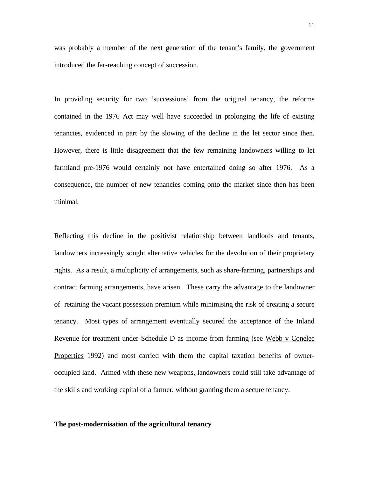was probably a member of the next generation of the tenant's family, the government introduced the far-reaching concept of succession.

In providing security for two 'successions' from the original tenancy, the reforms contained in the 1976 Act may well have succeeded in prolonging the life of existing tenancies, evidenced in part by the slowing of the decline in the let sector since then. However, there is little disagreement that the few remaining landowners willing to let farmland pre-1976 would certainly not have entertained doing so after 1976. As a consequence, the number of new tenancies coming onto the market since then has been minimal.

Reflecting this decline in the positivist relationship between landlords and tenants, landowners increasingly sought alternative vehicles for the devolution of their proprietary rights. As a result, a multiplicity of arrangements, such as share-farming, partnerships and contract farming arrangements, have arisen. These carry the advantage to the landowner of retaining the vacant possession premium while minimising the risk of creating a secure tenancy. Most types of arrangement eventually secured the acceptance of the Inland Revenue for treatment under Schedule D as income from farming (see Webb v Conelee Properties 1992) and most carried with them the capital taxation benefits of owneroccupied land. Armed with these new weapons, landowners could still take advantage of the skills and working capital of a farmer, without granting them a secure tenancy.

#### **The post-modernisation of the agricultural tenancy**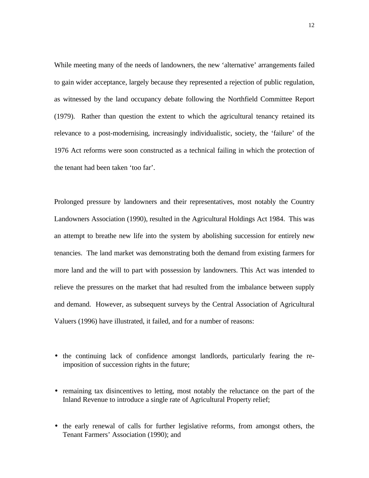While meeting many of the needs of landowners, the new 'alternative' arrangements failed to gain wider acceptance, largely because they represented a rejection of public regulation, as witnessed by the land occupancy debate following the Northfield Committee Report (1979). Rather than question the extent to which the agricultural tenancy retained its relevance to a post-modernising, increasingly individualistic, society, the 'failure' of the 1976 Act reforms were soon constructed as a technical failing in which the protection of the tenant had been taken 'too far'.

Prolonged pressure by landowners and their representatives, most notably the Country Landowners Association (1990), resulted in the Agricultural Holdings Act 1984. This was an attempt to breathe new life into the system by abolishing succession for entirely new tenancies. The land market was demonstrating both the demand from existing farmers for more land and the will to part with possession by landowners. This Act was intended to relieve the pressures on the market that had resulted from the imbalance between supply and demand. However, as subsequent surveys by the Central Association of Agricultural Valuers (1996) have illustrated, it failed, and for a number of reasons:

- the continuing lack of confidence amongst landlords, particularly fearing the reimposition of succession rights in the future;
- remaining tax disincentives to letting, most notably the reluctance on the part of the Inland Revenue to introduce a single rate of Agricultural Property relief;
- the early renewal of calls for further legislative reforms, from amongst others, the Tenant Farmers' Association (1990); and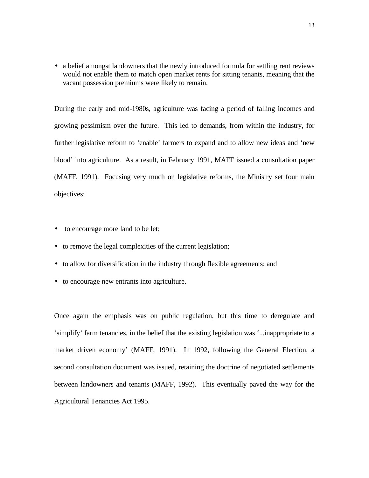• a belief amongst landowners that the newly introduced formula for settling rent reviews would not enable them to match open market rents for sitting tenants, meaning that the vacant possession premiums were likely to remain.

During the early and mid-1980s, agriculture was facing a period of falling incomes and growing pessimism over the future. This led to demands, from within the industry, for further legislative reform to 'enable' farmers to expand and to allow new ideas and 'new blood' into agriculture. As a result, in February 1991, MAFF issued a consultation paper (MAFF, 1991). Focusing very much on legislative reforms, the Ministry set four main objectives:

- to encourage more land to be let;
- to remove the legal complexities of the current legislation;
- to allow for diversification in the industry through flexible agreements; and
- to encourage new entrants into agriculture.

Once again the emphasis was on public regulation, but this time to deregulate and 'simplify' farm tenancies, in the belief that the existing legislation was '...inappropriate to a market driven economy' (MAFF, 1991). In 1992, following the General Election, a second consultation document was issued, retaining the doctrine of negotiated settlements between landowners and tenants (MAFF, 1992). This eventually paved the way for the Agricultural Tenancies Act 1995.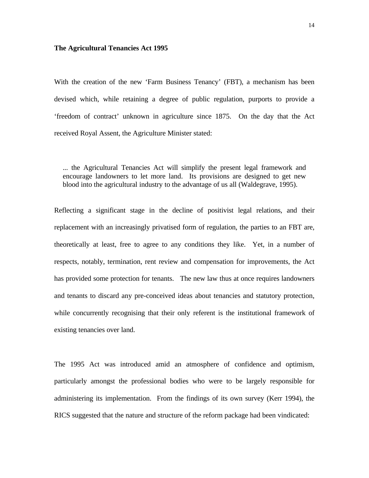### **The Agricultural Tenancies Act 1995**

With the creation of the new 'Farm Business Tenancy' (FBT), a mechanism has been devised which, while retaining a degree of public regulation, purports to provide a 'freedom of contract' unknown in agriculture since 1875. On the day that the Act received Royal Assent, the Agriculture Minister stated:

... the Agricultural Tenancies Act will simplify the present legal framework and encourage landowners to let more land. Its provisions are designed to get new blood into the agricultural industry to the advantage of us all (Waldegrave, 1995).

Reflecting a significant stage in the decline of positivist legal relations, and their replacement with an increasingly privatised form of regulation, the parties to an FBT are, theoretically at least, free to agree to any conditions they like. Yet, in a number of respects, notably, termination, rent review and compensation for improvements, the Act has provided some protection for tenants. The new law thus at once requires landowners and tenants to discard any pre-conceived ideas about tenancies and statutory protection, while concurrently recognising that their only referent is the institutional framework of existing tenancies over land.

The 1995 Act was introduced amid an atmosphere of confidence and optimism, particularly amongst the professional bodies who were to be largely responsible for administering its implementation. From the findings of its own survey (Kerr 1994), the RICS suggested that the nature and structure of the reform package had been vindicated: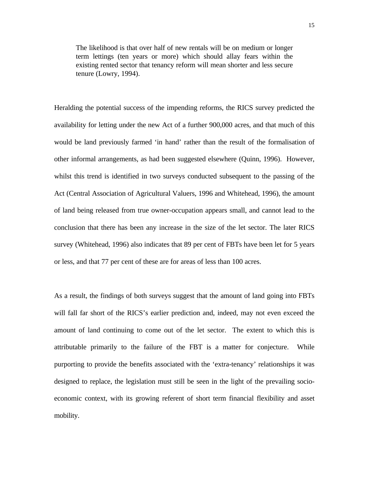The likelihood is that over half of new rentals will be on medium or longer term lettings (ten years or more) which should allay fears within the existing rented sector that tenancy reform will mean shorter and less secure tenure (Lowry, 1994).

Heralding the potential success of the impending reforms, the RICS survey predicted the availability for letting under the new Act of a further 900,000 acres, and that much of this would be land previously farmed 'in hand' rather than the result of the formalisation of other informal arrangements, as had been suggested elsewhere (Quinn, 1996). However, whilst this trend is identified in two surveys conducted subsequent to the passing of the Act (Central Association of Agricultural Valuers, 1996 and Whitehead, 1996), the amount of land being released from true owner-occupation appears small, and cannot lead to the conclusion that there has been any increase in the size of the let sector. The later RICS survey (Whitehead, 1996) also indicates that 89 per cent of FBTs have been let for 5 years or less, and that 77 per cent of these are for areas of less than 100 acres.

As a result, the findings of both surveys suggest that the amount of land going into FBTs will fall far short of the RICS's earlier prediction and, indeed, may not even exceed the amount of land continuing to come out of the let sector. The extent to which this is attributable primarily to the failure of the FBT is a matter for conjecture. While purporting to provide the benefits associated with the 'extra-tenancy' relationships it was designed to replace, the legislation must still be seen in the light of the prevailing socioeconomic context, with its growing referent of short term financial flexibility and asset mobility.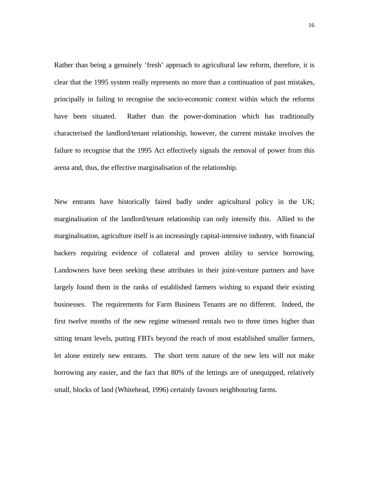Rather than being a genuinely 'fresh' approach to agricultural law reform, therefore, it is clear that the 1995 system really represents no more than a continuation of past mistakes, principally in failing to recognise the socio-economic context within which the reforms have been situated. Rather than the power-domination which has traditionally characterised the landlord/tenant relationship, however, the current mistake involves the failure to recognise that the 1995 Act effectively signals the removal of power from this arena and, thus, the effective marginalisation of the relationship.

New entrants have historically faired badly under agricultural policy in the UK; marginalisation of the landlord/tenant relationship can only intensify this. Allied to the marginalisation, agriculture itself is an increasingly capital-intensive industry, with financial backers requiring evidence of collateral and proven ability to service borrowing. Landowners have been seeking these attributes in their joint-venture partners and have largely found them in the ranks of established farmers wishing to expand their existing businesses. The requirements for Farm Business Tenants are no different. Indeed, the first twelve months of the new regime witnessed rentals two to three times higher than sitting tenant levels, putting FBTs beyond the reach of most established smaller farmers, let alone entirely new entrants. The short term nature of the new lets will not make borrowing any easier, and the fact that 80% of the lettings are of unequipped, relatively small, blocks of land (Whitehead, 1996) certainly favours neighbouring farms.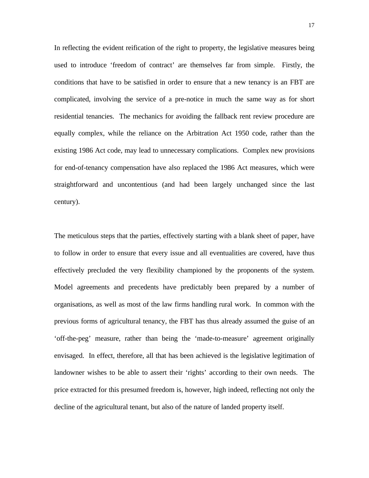In reflecting the evident reification of the right to property, the legislative measures being used to introduce 'freedom of contract' are themselves far from simple. Firstly, the conditions that have to be satisfied in order to ensure that a new tenancy is an FBT are complicated, involving the service of a pre-notice in much the same way as for short residential tenancies. The mechanics for avoiding the fallback rent review procedure are equally complex, while the reliance on the Arbitration Act 1950 code, rather than the existing 1986 Act code, may lead to unnecessary complications. Complex new provisions for end-of-tenancy compensation have also replaced the 1986 Act measures, which were straightforward and uncontentious (and had been largely unchanged since the last century).

The meticulous steps that the parties, effectively starting with a blank sheet of paper, have to follow in order to ensure that every issue and all eventualities are covered, have thus effectively precluded the very flexibility championed by the proponents of the system. Model agreements and precedents have predictably been prepared by a number of organisations, as well as most of the law firms handling rural work. In common with the previous forms of agricultural tenancy, the FBT has thus already assumed the guise of an 'off-the-peg' measure, rather than being the 'made-to-measure' agreement originally envisaged. In effect, therefore, all that has been achieved is the legislative legitimation of landowner wishes to be able to assert their 'rights' according to their own needs. The price extracted for this presumed freedom is, however, high indeed, reflecting not only the decline of the agricultural tenant, but also of the nature of landed property itself.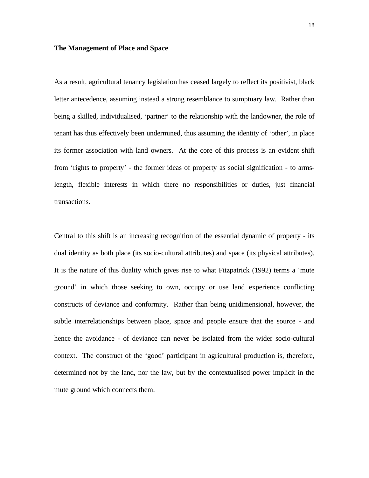### **The Management of Place and Space**

As a result, agricultural tenancy legislation has ceased largely to reflect its positivist, black letter antecedence, assuming instead a strong resemblance to sumptuary law. Rather than being a skilled, individualised, 'partner' to the relationship with the landowner, the role of tenant has thus effectively been undermined, thus assuming the identity of 'other', in place its former association with land owners. At the core of this process is an evident shift from 'rights to property' - the former ideas of property as social signification - to armslength, flexible interests in which there no responsibilities or duties, just financial transactions.

Central to this shift is an increasing recognition of the essential dynamic of property - its dual identity as both place (its socio-cultural attributes) and space (its physical attributes). It is the nature of this duality which gives rise to what Fitzpatrick (1992) terms a 'mute ground' in which those seeking to own, occupy or use land experience conflicting constructs of deviance and conformity. Rather than being unidimensional, however, the subtle interrelationships between place, space and people ensure that the source - and hence the avoidance - of deviance can never be isolated from the wider socio-cultural context. The construct of the 'good' participant in agricultural production is, therefore, determined not by the land, nor the law, but by the contextualised power implicit in the mute ground which connects them.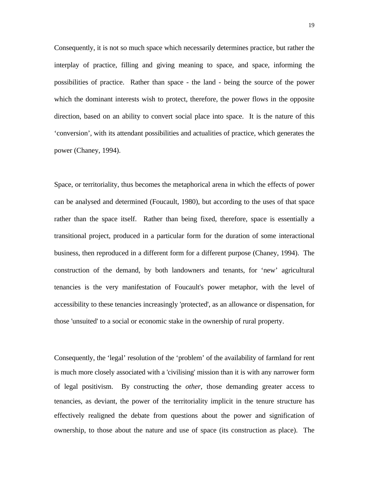Consequently, it is not so much space which necessarily determines practice, but rather the interplay of practice, filling and giving meaning to space, and space, informing the possibilities of practice. Rather than space - the land - being the source of the power which the dominant interests wish to protect, therefore, the power flows in the opposite direction, based on an ability to convert social place into space. It is the nature of this 'conversion', with its attendant possibilities and actualities of practice, which generates the power (Chaney, 1994).

Space, or territoriality, thus becomes the metaphorical arena in which the effects of power can be analysed and determined (Foucault, 1980), but according to the uses of that space rather than the space itself. Rather than being fixed, therefore, space is essentially a transitional project, produced in a particular form for the duration of some interactional business, then reproduced in a different form for a different purpose (Chaney, 1994). The construction of the demand, by both landowners and tenants, for 'new' agricultural tenancies is the very manifestation of Foucault's power metaphor, with the level of accessibility to these tenancies increasingly 'protected', as an allowance or dispensation, for those 'unsuited' to a social or economic stake in the ownership of rural property.

Consequently, the 'legal' resolution of the 'problem' of the availability of farmland for rent is much more closely associated with a 'civilising' mission than it is with any narrower form of legal positivism. By constructing the *other*, those demanding greater access to tenancies, as deviant, the power of the territoriality implicit in the tenure structure has effectively realigned the debate from questions about the power and signification of ownership, to those about the nature and use of space (its construction as place). The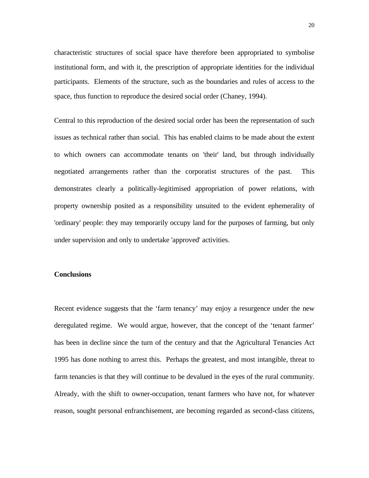characteristic structures of social space have therefore been appropriated to symbolise institutional form, and with it, the prescription of appropriate identities for the individual participants. Elements of the structure, such as the boundaries and rules of access to the space, thus function to reproduce the desired social order (Chaney, 1994).

Central to this reproduction of the desired social order has been the representation of such issues as technical rather than social. This has enabled claims to be made about the extent to which owners can accommodate tenants on 'their' land, but through individually negotiated arrangements rather than the corporatist structures of the past. This demonstrates clearly a politically-legitimised appropriation of power relations, with property ownership posited as a responsibility unsuited to the evident ephemerality of 'ordinary' people: they may temporarily occupy land for the purposes of farming, but only under supervision and only to undertake 'approved' activities.

### **Conclusions**

Recent evidence suggests that the 'farm tenancy' may enjoy a resurgence under the new deregulated regime. We would argue, however, that the concept of the 'tenant farmer' has been in decline since the turn of the century and that the Agricultural Tenancies Act 1995 has done nothing to arrest this. Perhaps the greatest, and most intangible, threat to farm tenancies is that they will continue to be devalued in the eyes of the rural community. Already, with the shift to owner-occupation, tenant farmers who have not, for whatever reason, sought personal enfranchisement, are becoming regarded as second-class citizens,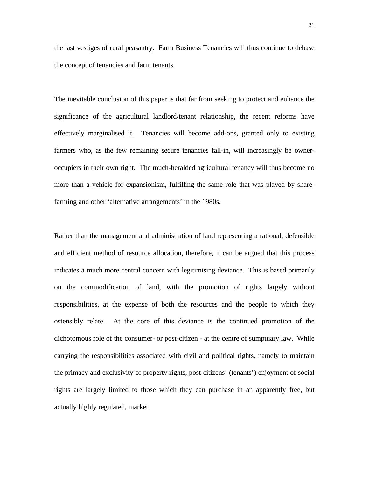the last vestiges of rural peasantry. Farm Business Tenancies will thus continue to debase the concept of tenancies and farm tenants.

The inevitable conclusion of this paper is that far from seeking to protect and enhance the significance of the agricultural landlord/tenant relationship, the recent reforms have effectively marginalised it. Tenancies will become add-ons, granted only to existing farmers who, as the few remaining secure tenancies fall-in, will increasingly be owneroccupiers in their own right. The much-heralded agricultural tenancy will thus become no more than a vehicle for expansionism, fulfilling the same role that was played by sharefarming and other 'alternative arrangements' in the 1980s.

Rather than the management and administration of land representing a rational, defensible and efficient method of resource allocation, therefore, it can be argued that this process indicates a much more central concern with legitimising deviance. This is based primarily on the commodification of land, with the promotion of rights largely without responsibilities, at the expense of both the resources and the people to which they ostensibly relate. At the core of this deviance is the continued promotion of the dichotomous role of the consumer- or post-citizen - at the centre of sumptuary law. While carrying the responsibilities associated with civil and political rights, namely to maintain the primacy and exclusivity of property rights, post-citizens' (tenants') enjoyment of social rights are largely limited to those which they can purchase in an apparently free, but actually highly regulated, market.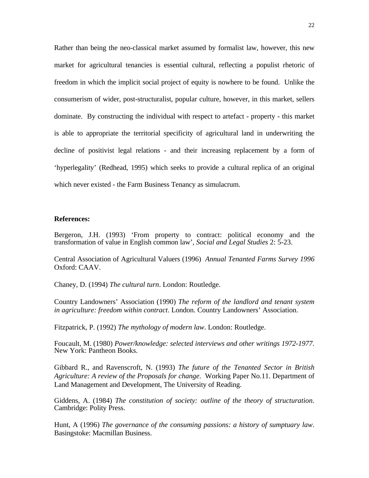Rather than being the neo-classical market assumed by formalist law, however, this new market for agricultural tenancies is essential cultural, reflecting a populist rhetoric of freedom in which the implicit social project of equity is nowhere to be found. Unlike the consumerism of wider, post-structuralist, popular culture, however, in this market, sellers dominate. By constructing the individual with respect to artefact - property - this market is able to appropriate the territorial specificity of agricultural land in underwriting the decline of positivist legal relations - and their increasing replacement by a form of 'hyperlegality' (Redhead, 1995) which seeks to provide a cultural replica of an original which never existed - the Farm Business Tenancy as simulacrum.

### **References:**

Bergeron, J.H. (1993) 'From property to contract: political economy and the transformation of value in English common law', *Social and Legal Studies* 2: 5-23.

Central Association of Agricultural Valuers (1996) *Annual Tenanted Farms Survey 1996* Oxford: CAAV.

Chaney, D. (1994) *The cultural turn*. London: Routledge.

Country Landowners' Association (1990) *The reform of the landlord and tenant system in agriculture: freedom within contract*. London. Country Landowners' Association.

Fitzpatrick, P. (1992) *The mythology of modern law*. London: Routledge.

Foucault, M. (1980) *Power/knowledge: selected interviews and other writings 1972-1977*. New York: Pantheon Books.

Gibbard R., and Ravenscroft, N. (1993) *The future of the Tenanted Sector in British Agriculture: A review of the Proposals for change*. Working Paper No.11. Department of Land Management and Development, The University of Reading.

Giddens, A. (1984) *The constitution of society: outline of the theory of structuration*. Cambridge: Polity Press.

Hunt, A (1996) *The governance of the consuming passions: a history of sumptuary law*. Basingstoke: Macmillan Business.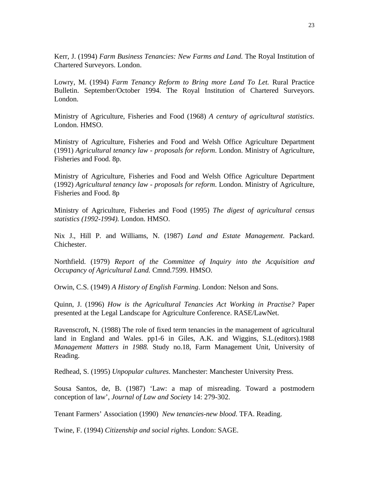Kerr, J. (1994) *Farm Business Tenancies: New Farms and Land.* The Royal Institution of Chartered Surveyors. London.

Lowry, M. (1994) *Farm Tenancy Reform to Bring more Land To Let.* Rural Practice Bulletin. September/October 1994. The Royal Institution of Chartered Surveyors. London.

Ministry of Agriculture, Fisheries and Food (1968) *A century of agricultural statistics*. London. HMSO.

Ministry of Agriculture, Fisheries and Food and Welsh Office Agriculture Department (1991) *Agricultural tenancy law - proposals for reform*. London. Ministry of Agriculture, Fisheries and Food. 8p.

Ministry of Agriculture, Fisheries and Food and Welsh Office Agriculture Department (1992) *Agricultural tenancy law - proposals for reform*. London. Ministry of Agriculture, Fisheries and Food. 8p

Ministry of Agriculture, Fisheries and Food (1995) *The digest of agricultural census statistics (1992-1994).* London. HMSO.

Nix J., Hill P. and Williams, N. (1987) *Land and Estate Management*. Packard. Chichester.

Northfield. (1979) *Report of the Committee of Inquiry into the Acquisition and Occupancy of Agricultural Land.* Cmnd.7599. HMSO.

Orwin, C.S. (1949) *A History of English Farming*. London: Nelson and Sons.

Quinn, J. (1996) *How is the Agricultural Tenancies Act Working in Practise?* Paper presented at the Legal Landscape for Agriculture Conference. RASE/LawNet.

Ravenscroft, N. (1988) The role of fixed term tenancies in the management of agricultural land in England and Wales. pp1-6 in Giles, A.K. and Wiggins, S.L.(editors).1988 *Management Matters in 1988.* Study no.18, Farm Management Unit, University of Reading.

Redhead, S. (1995) *Unpopular cultures*. Manchester: Manchester University Press.

Sousa Santos, de, B. (1987) 'Law: a map of misreading. Toward a postmodern conception of law', *Journal of Law and Society* 14: 279-302.

Tenant Farmers' Association (1990) *New tenancies-new blood*. TFA. Reading.

Twine, F. (1994) *Citizenship and social rights*. London: SAGE.